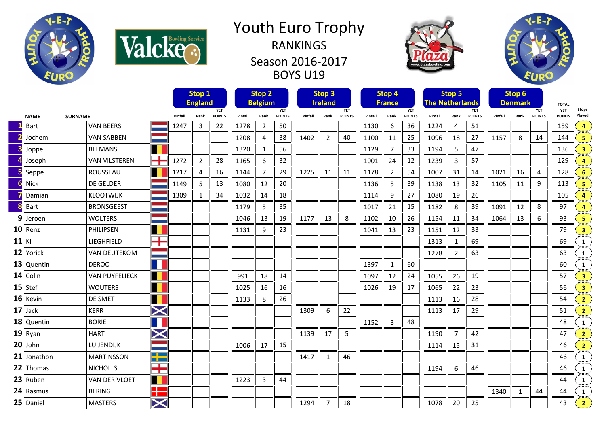



## Youth Euro Trophy RANKINGS Season 2016-2017 BOYS U19





|         |                               |                       |                       | Stop 1  |                              |               |         | Stop <sub>2</sub> |               | Stop <sub>3</sub><br><b>Ireland</b> |                |               | Stop 4<br><b>France</b> |                |               | Stop 5<br><b>The Netherlands</b> |                |               |                              | Stop 6       |               |                            |                         |
|---------|-------------------------------|-----------------------|-----------------------|---------|------------------------------|---------------|---------|-------------------|---------------|-------------------------------------|----------------|---------------|-------------------------|----------------|---------------|----------------------------------|----------------|---------------|------------------------------|--------------|---------------|----------------------------|-------------------------|
|         |                               |                       |                       |         | <b>England</b><br><b>YET</b> |               |         | <b>Belgium</b>    | <b>YET</b>    |                                     |                | <b>YET</b>    |                         |                | <b>YET</b>    |                                  |                | <b>YET</b>    | <b>Denmark</b><br><b>YET</b> |              |               | <b>TOTAL</b><br><b>YET</b> | <b>Stops</b>            |
|         | <b>SURNAME</b><br><b>NAME</b> |                       |                       | Pinfall | Rank                         | <b>POINTS</b> | Pinfall | Rank              | <b>POINTS</b> | Pinfall                             | Rank           | <b>POINTS</b> | Pinfall                 | Rank           | <b>POINTS</b> | Pinfall                          | Rank           | <b>POINTS</b> | Pinfall                      | Rank         | <b>POINTS</b> | <b>POINTS</b>              | Played                  |
|         | Bart                          | <b>VAN BEERS</b>      |                       | 1247    | 3                            | 22            | 1278    | 2                 | 50            |                                     |                |               | 1130                    | 6              | 36            | 1224                             | 4              | 51            |                              |              |               | 159                        | $\overline{4}$          |
|         | Jochem                        | <b>VAN SABBEN</b>     |                       |         |                              |               | 1208    | 4                 | 38            | 1402                                | $\overline{2}$ | 40            | 1100                    | 11             | 25            | 1096                             | 18             | 27            | 1157                         | 8            | 14            | 144                        | -5                      |
|         | Joppe                         | <b>BELMANS</b>        |                       |         |                              |               | 1320    | 1                 | 56            |                                     |                |               | 1129                    | 7              | 33            | 1194                             | 5              | 47            |                              |              |               | 136                        | $\overline{\mathbf{3}}$ |
|         | Joseph                        | <b>VAN VILSTEREN</b>  | ╅                     | 1272    | $\overline{2}$               | 28            | 1165    | 6                 | 32            |                                     |                |               | 1001                    | 24             | 12            | 1239                             | 3              | 57            |                              |              |               | 129                        | Δ                       |
|         | Seppe                         | ROUSSEAU              |                       | 1217    | 4                            | 16            | 1144    | 7                 | 29            | 1225                                | 11             | 11            | 1178                    | $\overline{2}$ | 54            | 1007                             | 31             | 14            | 1021                         | 16           | 4             | 128                        | 6                       |
|         | Nick                          | <b>DE GELDER</b>      |                       | 1149    | 5                            | 13            | 1080    | 12                | 20            |                                     |                |               | 1136                    | 5              | 39            | 1138                             | 13             | 32            | 1105                         | 11           | 9             | 113                        | 5                       |
|         | Damian                        | <b>KLOOTWIJK</b>      |                       | 1309    | $\mathbf{1}$                 | 34            | 1032    | 14                | 18            |                                     |                |               | 1114                    | 9              | 27            | 1080                             | 19             | 26            |                              |              |               | 105                        | 4                       |
|         | Bart                          | <b>BRONSGEEST</b>     |                       |         |                              |               | 1179    | 5                 | 35            |                                     |                |               | 1017                    | 21             | 15            | 1182                             | 8              | 39            | 1091                         | 12           | 8             | 97                         | $\overline{a}$          |
| 9       | Jeroen                        | <b>WOLTERS</b>        |                       |         |                              |               | 1046    | 13                | 19            | 1177                                | 13             | 8             | 1102                    | 10             | 26            | 1154                             | 11             | 34            | 1064                         | 13           | 6             | 93                         | 5                       |
|         | $10$ Renz                     | PHILIPSEN             |                       |         |                              |               | 1131    | 9                 | 23            |                                     |                |               | 1041                    | 13             | 23            | 1151                             | 12             | 33            |                              |              |               | 79                         | $\overline{\mathbf{3}}$ |
| $11$ Ki |                               | LIEGHFIELD            | <b>The Co</b><br>T    |         |                              |               |         |                   |               |                                     |                |               |                         |                |               | 1313                             | 1              | 69            |                              |              |               | 69                         | 1                       |
|         | 12 Yorick                     | <b>VAN DEUTEKOM</b>   |                       |         |                              |               |         |                   |               |                                     |                |               |                         |                |               | 1278                             | 2              | 63            |                              |              |               | 63                         | $\mathbf{1}$            |
|         | 13 Quentin                    | <b>DEROO</b>          | T                     |         |                              |               |         |                   |               |                                     |                |               | 1397                    | $\mathbf{1}$   | 60            |                                  |                |               |                              |              |               | 60                         | ber e<br>$\mathbf{1}$   |
|         | $14$ Colin                    | <b>VAN PUYFELIECK</b> | $\blacksquare$        |         |                              |               | 991     | 18                | 14            |                                     |                |               | 1097                    | 12             | 24            | 1055                             | 26             | 19            |                              |              |               | 57                         | $\overline{\mathbf{3}}$ |
|         | $15$ Stef                     | <b>WOUTERS</b>        |                       |         |                              |               | 1025    | 16                | 16            |                                     |                |               | 1026                    | 19             | 17            | 1065                             | 22             | 23            |                              |              |               | 56                         | $\overline{\mathbf{3}}$ |
|         | 16 Kevin                      | DE SMET               |                       |         |                              |               | 1133    | 8                 | 26            |                                     |                |               |                         |                |               | 1113                             | 16             | 28            |                              |              |               | 54                         | $\overline{2}$          |
|         | $17$ Jack                     | <b>KERR</b>           | $\bm{\times}$         |         |                              |               |         |                   |               | 1309                                | 6              | 22            |                         |                |               | 1113                             | 17             | 29            |                              |              |               | 51                         | $\overline{2}$          |
|         | 18 Quentin                    | <b>BORIE</b>          |                       |         |                              |               |         |                   |               |                                     |                |               | 1152                    | 3              | 48            |                                  |                |               |                              |              |               | 48                         | 1                       |
|         | 19 Ryan                       | <b>HART</b>           | $\bm{\times}$         |         |                              |               |         |                   |               | 1139                                | 17             | 5             |                         |                |               | 1190                             | $\overline{7}$ | 42            |                              |              |               | 47                         | 2 <sup>1</sup>          |
|         | $20$ John                     | LUIJENDIJK            |                       |         |                              |               | 1006    | 17                | 15            |                                     |                |               |                         |                |               | 1114                             | 15             | 31            |                              |              |               | 46                         | $\overline{2}$          |
|         | 21 Jonathon                   | <b>MARTINSSON</b>     | $\blacksquare$<br>a m |         |                              |               |         |                   |               | 1417                                | 1              | 46            |                         |                |               |                                  |                |               |                              |              |               | 46                         | 1                       |
|         | 22 Thomas                     | <b>NICHOLLS</b>       | $\mathbf{r}$<br>T     |         |                              |               |         |                   |               |                                     |                |               |                         |                |               | 1194                             | 6              | 46            |                              |              |               | 46                         | ber e<br>$\mathbf{1}$   |
|         | 23 Ruben                      | <b>VAN DER VLOET</b>  | П                     |         |                              |               | 1223    | 3                 | 44            |                                     |                |               |                         |                |               |                                  |                |               |                              |              |               | 44                         | $\mathbf{1}$            |
|         | 24 Rasmus                     | <b>BERING</b>         | ۲٢                    |         |                              |               |         |                   |               |                                     |                |               |                         |                |               |                                  |                |               | 1340                         | $\mathbf{1}$ | 44            | 44                         | 1                       |
|         | 25 Daniel                     | <b>MASTERS</b>        | $\bm{\times}$         |         |                              |               |         |                   |               | 1294                                | $\overline{7}$ | 18            |                         |                |               | 1078                             | 20             | 25            |                              |              |               | 43                         | $\overline{2}$          |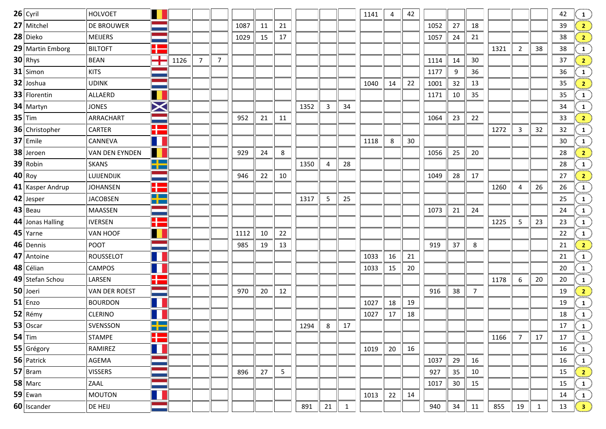| $26$ Cyril       | HOLVOET              |                              |      |                |                |      |    |    |      |                |              | 1141 | $\overline{4}$ | 42 |      |    |                |      |                |              | 42 | $\frac{1}{2}$                              |
|------------------|----------------------|------------------------------|------|----------------|----------------|------|----|----|------|----------------|--------------|------|----------------|----|------|----|----------------|------|----------------|--------------|----|--------------------------------------------|
| 27 Mitchel       | <b>DE BROUWER</b>    |                              |      |                |                | 1087 | 11 | 21 |      |                |              |      |                |    | 1052 | 27 | 18             |      |                |              | 39 | 2 <sub>1</sub>                             |
| 28 Dieko         | <b>MEIJERS</b>       |                              |      |                |                | 1029 | 15 | 17 |      |                |              |      |                |    | 1057 | 24 | 21             |      |                |              | 38 | $\left  \frac{2}{2} \right $               |
| 29 Martin Emborg | <b>BILTOFT</b>       | a po<br>Т.                   |      |                |                |      |    |    |      |                |              |      |                |    |      |    |                | 1321 | $\overline{2}$ | 38           | 38 | $\frac{1}{\min}$                           |
| $30$ Rhys        | BEAN                 | T                            | 1126 | $\overline{7}$ | $\overline{7}$ |      |    |    |      |                |              |      |                |    | 1114 | 14 | 30             |      |                |              | 37 | $\frac{2}{\sqrt{2}}$                       |
| $31$ Simon       | <b>KITS</b>          |                              |      |                |                |      |    |    |      |                |              |      |                |    | 1177 | 9  | 36             |      |                |              | 36 | $\mathbf{1}$                               |
| 32 Joshua        | <b>UDINK</b>         |                              |      |                |                |      |    |    |      |                |              | 1040 | 14             | 22 | 1001 | 32 | 13             |      |                |              | 35 | $\frac{2}{\pi}$                            |
| 33 Florentin     | ALLAERD              |                              |      |                |                |      |    |    |      |                |              |      |                |    | 1171 | 10 | 35             |      |                |              | 35 | $\frac{1}{\text{max}}$                     |
| 34 Martyn        | <b>JONES</b>         | $\bm{\times}$                |      |                |                |      |    |    | 1352 | $\mathbf{3}$   | 34           |      |                |    |      |    |                |      |                |              | 34 | $\mathbf{1}$                               |
| $35$ Tim         | ARRACHART            |                              |      |                |                | 952  | 21 | 11 |      |                |              |      |                |    | 1064 | 23 | 22             |      |                |              | 33 | $\frac{2}{2}$                              |
| 36 Christopher   | CARTER               | H                            |      |                |                |      |    |    |      |                |              |      |                |    |      |    |                | 1272 | 3              | 32           | 32 | $\frac{1}{\text{max}}$                     |
| 37 Emile         | CANNEVA              | $\blacksquare$               |      |                |                |      |    |    |      |                |              | 1118 | 8              | 30 |      |    |                |      |                |              | 30 | $\frac{1}{\sin \pi}$                       |
| 38 Jeroen        | VAN DEN EYNDEN       | H                            |      |                |                | 929  | 24 | 8  |      |                |              |      |                |    | 1056 | 25 | 20             |      |                |              | 28 | $\frac{2}{2}$                              |
| 39 Robin         | <b>SKANS</b>         | <u>e co</u><br><u>m m</u>    |      |                |                |      |    |    | 1350 | $\overline{4}$ | 28           |      |                |    |      |    |                |      |                |              | 28 | $\frac{1}{\text{max}}$                     |
| $40$ Roy         | LUIJENDIJK           |                              |      |                |                | 946  | 22 | 10 |      |                |              |      |                |    | 1049 | 28 | 17             |      |                |              | 27 | $\frac{2}{\sqrt{2}}$                       |
| 41 Kasper Andrup | <b>JOHANSEN</b>      | H                            |      |                |                |      |    |    |      |                |              |      |                |    |      |    |                | 1260 | 4              | 26           | 26 | $\frac{1}{2}$                              |
| 42 Jesper        | <b>JACOBSEN</b>      | $\blacksquare$<br><u>m m</u> |      |                |                |      |    |    | 1317 | 5              | 25           |      |                |    |      |    |                |      |                |              | 25 | $\frac{1}{\text{max}}$                     |
| $43$ Beau        | MAASSEN              |                              |      |                |                |      |    |    |      |                |              |      |                |    | 1073 | 21 | 24             |      |                |              | 24 | $\mathbf{1}$                               |
| 44 Jonas Halling | <b>IVERSEN</b>       | H                            |      |                |                |      |    |    |      |                |              |      |                |    |      |    |                | 1225 | 5              | 23           | 23 | $\frac{1}{\text{max}}$                     |
| 45 Yarne         | VAN HOOF             | Ш                            |      |                |                | 1112 | 10 | 22 |      |                |              |      |                |    |      |    |                |      |                |              | 22 | $\frac{1}{2}$                              |
| 46 Dennis        | <b>POOT</b>          |                              |      |                |                | 985  | 19 | 13 |      |                |              |      |                |    | 919  | 37 | 8              |      |                |              | 21 | $\frac{2}{\sqrt{2}}$                       |
| 47 Antoine       | <b>ROUSSELOT</b>     |                              |      |                |                |      |    |    |      |                |              | 1033 | 16             | 21 |      |    |                |      |                |              | 21 | $\frac{1}{\text{max}}$                     |
| 48 Célian        | <b>CAMPOS</b>        | $\blacksquare$               |      |                |                |      |    |    |      |                |              | 1033 | 15             | 20 |      |    |                |      |                |              | 20 | $\frac{1}{\text{max}}$                     |
| 49 Stefan Schou  | LARSEN               | ╊                            |      |                |                |      |    |    |      |                |              |      |                |    |      |    |                | 1178 | 6              | 20           | 20 | $\frac{1}{\text{max}}$                     |
| 50 Joeri         | <b>VAN DER ROEST</b> |                              |      |                |                | 970  | 20 | 12 |      |                |              |      |                |    | 916  | 38 | $\overline{7}$ |      |                |              | 19 | $\frac{2}{2}$                              |
| $51$ Enzo        | <b>BOURDON</b>       | Ш                            |      |                |                |      |    |    |      |                |              | 1027 | 18             | 19 |      |    |                |      |                |              | 19 | $\frac{1}{\text{max}}$                     |
| 52 Rémy          | <b>CLERINO</b>       |                              |      |                |                |      |    |    |      |                |              | 1027 | 17             | 18 |      |    |                |      |                |              | 18 |                                            |
| $53$ Oscar       | SVENSSON             | <u>e le s</u><br><u>a ma</u> |      |                |                |      |    |    | 1294 | 8              | 17           |      |                |    |      |    |                |      |                |              | 17 | $\begin{pmatrix} 1 \ 1 \end{pmatrix}$      |
| $54$ Tim         | STAMPE               | ╊                            |      |                |                |      |    |    |      |                |              |      |                |    |      |    |                | 1166 | $\overline{7}$ | 17           | 17 | $\begin{pmatrix} 1 \ \cdots \end{pmatrix}$ |
| 55 Grégory       | RAMIREZ              |                              |      |                |                |      |    |    |      |                |              | 1019 | 20             | 16 |      |    |                |      |                |              | 16 | $\frac{1}{2}$                              |
| 56 Patrick       | AGEMA                |                              |      |                |                |      |    |    |      |                |              |      |                |    | 1037 | 29 | 16             |      |                |              | 16 | $\frac{1}{\sin \pi}$                       |
| $57$ Bram        | <b>VISSERS</b>       |                              |      |                |                | 896  | 27 | 5  |      |                |              |      |                |    | 927  | 35 | 10             |      |                |              | 15 | $\left  \frac{2}{2} \right $               |
| 58 Marc          | ZAAL                 |                              |      |                |                |      |    |    |      |                |              |      |                |    | 1017 | 30 | 15             |      |                |              | 15 | $\frac{1}{\frac{1}{2}}$                    |
| $59$ Ewan        | <b>MOUTON</b>        |                              |      |                |                |      |    |    |      |                |              | 1013 | 22             | 14 |      |    |                |      |                |              | 14 |                                            |
| 60 Iscander      | DE HEIJ              |                              |      |                |                |      |    |    | 891  | 21             | $\mathbf{1}$ |      |                |    | 940  | 34 | 11             | 855  | 19             | $\mathbf{1}$ | 13 | $\begin{pmatrix} 1 \\ 3 \end{pmatrix}$     |
|                  |                      |                              |      |                |                |      |    |    |      |                |              |      |                |    |      |    |                |      |                |              |    |                                            |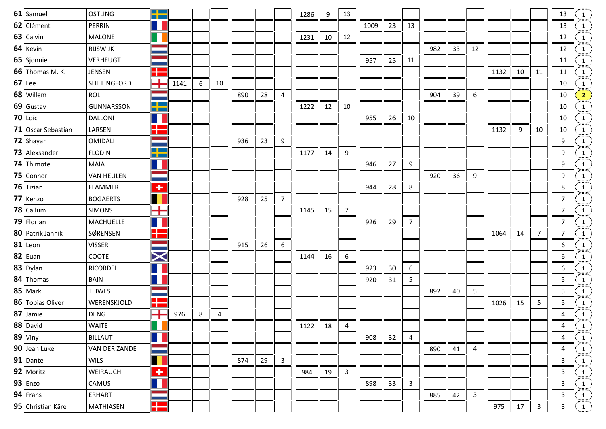| 61 Samuel              | <b>OSTLING</b>    | <u>e le s</u><br>T PI         |      |   |    |     |    |              | 1286 | 9  | 13             |      |    |    |     |    |              |      |    |              | 13             |                                                                                                                                                                                                                                       |
|------------------------|-------------------|-------------------------------|------|---|----|-----|----|--------------|------|----|----------------|------|----|----|-----|----|--------------|------|----|--------------|----------------|---------------------------------------------------------------------------------------------------------------------------------------------------------------------------------------------------------------------------------------|
| 62 Clément             | PERRIN            |                               |      |   |    |     |    |              |      |    |                | 1009 | 23 | 13 |     |    |              |      |    |              | 13             | $\begin{pmatrix} 1 & 1 & 1 \ 1 & 1 & 1 \ 1 & 1 & 1 \ 1 & 1 & 1 \ 1 & 1 & 1 \ 1 & 1 & 1 \ 1 & 1 & 1 \ 1 & 1 & 1 \ \end{pmatrix} \begin{pmatrix} 1 & 1 & 1 \ 1 & 1 & 1 \ 1 & 1 & 1 \ 1 & 1 & 1 \ 1 & 1 & 1 \ 1 & 1 & 1 \ \end{pmatrix}$ |
| 63 Calvin              | <b>MALONE</b>     |                               |      |   |    |     |    |              | 1231 | 10 | 12             |      |    |    |     |    |              |      |    |              | 12             |                                                                                                                                                                                                                                       |
| 64 Kevin               | RIJSWIJK          |                               |      |   |    |     |    |              |      |    |                |      |    |    | 982 | 33 | 12           |      |    |              | 12             |                                                                                                                                                                                                                                       |
| 65 Sjonnie             | VERHEUGT          |                               |      |   |    |     |    |              |      |    |                | 957  | 25 | 11 |     |    |              |      |    |              | 11             |                                                                                                                                                                                                                                       |
| <b>66</b> Thomas M. K. | <b>JENSEN</b>     | a po<br><b>The Co</b>         |      |   |    |     |    |              |      |    |                |      |    |    |     |    |              | 1132 | 10 | 11           | 11             |                                                                                                                                                                                                                                       |
| $67$ Lee               | SHILLINGFORD      | ╈                             | 1141 | 6 | 10 |     |    |              |      |    |                |      |    |    |     |    |              |      |    |              | 10             |                                                                                                                                                                                                                                       |
| 68 Willem              | ROL               |                               |      |   |    | 890 | 28 | 4            |      |    |                |      |    |    | 904 | 39 | 6            |      |    |              | 10             |                                                                                                                                                                                                                                       |
| 69 Gustav              | <b>GUNNARSSON</b> | $\blacksquare$<br><u>a pa</u> |      |   |    |     |    |              | 1222 | 12 | 10             |      |    |    |     |    |              |      |    |              | 10             |                                                                                                                                                                                                                                       |
| $70$ Loïc              | <b>DALLONI</b>    | $\blacksquare$                |      |   |    |     |    |              |      |    |                | 955  | 26 | 10 |     |    |              |      |    |              | 10             |                                                                                                                                                                                                                                       |
| 71 Oscar Sebastian     | LARSEN            | Ŧ                             |      |   |    |     |    |              |      |    |                |      |    |    |     |    |              | 1132 | 9  | 10           | 10             |                                                                                                                                                                                                                                       |
| $72$ Shayan            | <b>OMIDALI</b>    |                               |      |   |    | 936 | 23 | 9            |      |    |                |      |    |    |     |    |              |      |    |              | 9              |                                                                                                                                                                                                                                       |
| 73 Alexsander          | <b>FLODIN</b>     | $\blacksquare$<br>n pro       |      |   |    |     |    |              | 1177 | 14 | 9              |      |    |    |     |    |              |      |    |              | 9              |                                                                                                                                                                                                                                       |
| 74 Thimote             | <b>MAIA</b>       | ш                             |      |   |    |     |    |              |      |    |                | 946  | 27 | 9  |     |    |              |      |    |              | 9              |                                                                                                                                                                                                                                       |
| 75 Connor              | <b>VAN HEULEN</b> |                               |      |   |    |     |    |              |      |    |                |      |    |    | 920 | 36 | 9            |      |    |              | 9              |                                                                                                                                                                                                                                       |
| 76 Tizian              | <b>FLAMMER</b>    | $\overline{\textbf{r}}$       |      |   |    |     |    |              |      |    |                | 944  | 28 | 8  |     |    |              |      |    |              | 8              |                                                                                                                                                                                                                                       |
| 77 Kenzo               | <b>BOGAERTS</b>   | H                             |      |   |    | 928 | 25 | 7            |      |    |                |      |    |    |     |    |              |      |    |              | $\overline{7}$ |                                                                                                                                                                                                                                       |
| 78 Callum              | <b>SIMONS</b>     | $\mathbf{r}$<br><b>TIM</b>    |      |   |    |     |    |              | 1145 | 15 | $\overline{7}$ |      |    |    |     |    |              |      |    |              | $\overline{7}$ |                                                                                                                                                                                                                                       |
| 79 Florian             | <b>MACHUELLE</b>  | $\blacksquare$                |      |   |    |     |    |              |      |    |                | 926  | 29 | 7  |     |    |              |      |    |              | $\overline{7}$ |                                                                                                                                                                                                                                       |
| 80 Patrik Jannik       | SØRENSEN          | H                             |      |   |    |     |    |              |      |    |                |      |    |    |     |    |              | 1064 | 14 | $7^{\circ}$  | $\overline{7}$ |                                                                                                                                                                                                                                       |
| $81$ Leon              | <b>VISSER</b>     |                               |      |   |    | 915 | 26 | 6            |      |    |                |      |    |    |     |    |              |      |    |              | 6              |                                                                                                                                                                                                                                       |
| $82$ Euan              | <b>COOTE</b>      | $\bm{\times}$                 |      |   |    |     |    |              | 1144 | 16 | 6              |      |    |    |     |    |              |      |    |              | 6              |                                                                                                                                                                                                                                       |
| 83 Dylan               | RICORDEL          |                               |      |   |    |     |    |              |      |    |                | 923  | 30 | 6  |     |    |              |      |    |              | 6              |                                                                                                                                                                                                                                       |
| 84 Thomas              | <b>BAIN</b>       |                               |      |   |    |     |    |              |      |    |                | 920  | 31 | 5  |     |    |              |      |    |              | 5              |                                                                                                                                                                                                                                       |
| 85 Mark                | <b>TEIWES</b>     |                               |      |   |    |     |    |              |      |    |                |      |    |    | 892 | 40 | 5            |      |    |              | 5              |                                                                                                                                                                                                                                       |
| 86 Tobias Oliver       | WERENSKJOLD       | H                             |      |   |    |     |    |              |      |    |                |      |    |    |     |    |              | 1026 | 15 | 5            | 5              |                                                                                                                                                                                                                                       |
| 87 Jamie               | <b>DENG</b>       | $\mathbf{r}$<br>T             | 976  | 8 | 4  |     |    |              |      |    |                |      |    |    |     |    |              |      |    |              | 4              |                                                                                                                                                                                                                                       |
| 88 David               | <b>WAITE</b>      |                               |      |   |    |     |    |              | 1122 | 18 | 4              |      |    |    |     |    |              |      |    |              | 4              |                                                                                                                                                                                                                                       |
| 89 Viny                | <b>BILLAUT</b>    |                               |      |   |    |     |    |              |      |    |                | 908  | 32 | 4  |     |    |              |      |    |              | 4              |                                                                                                                                                                                                                                       |
| 90 Jean Luke           | VAN DER ZANDE     |                               |      |   |    |     |    |              |      |    |                |      |    |    | 890 | 41 | 4            |      |    |              | 4              |                                                                                                                                                                                                                                       |
| $91$ Dante             | <b>WILS</b>       | Ш                             |      |   |    | 874 | 29 | $\mathbf{3}$ |      |    |                |      |    |    |     |    |              |      |    |              | $\mathsf{3}$   |                                                                                                                                                                                                                                       |
| 92 Moritz              | WEIRAUCH          | $\overline{\textbf{r}}$       |      |   |    |     |    |              | 984  | 19 | $\mathbf{3}$   |      |    |    |     |    |              |      |    |              | 3              |                                                                                                                                                                                                                                       |
| $93$ Enzo              | CAMUS             | $\blacksquare$                |      |   |    |     |    |              |      |    |                | 898  | 33 | 3  |     |    |              |      |    |              | $\mathbf{3}$   |                                                                                                                                                                                                                                       |
| $94$ Frans             | ERHART            |                               |      |   |    |     |    |              |      |    |                |      |    |    | 885 | 42 | $\mathbf{3}$ |      |    |              | $\mathbf{3}$   |                                                                                                                                                                                                                                       |
| 95 Christian Käre      | MATHIASEN         | H                             |      |   |    |     |    |              |      |    |                |      |    |    |     |    |              | 975  | 17 | $\mathbf{3}$ | $\mathbf{3}$   | $\begin{array}{ c c } \hline 1&1 \ \hline 1&1 \ \hline 1&1 \ \hline 1&1 \ \hline \end{array}$                                                                                                                                         |